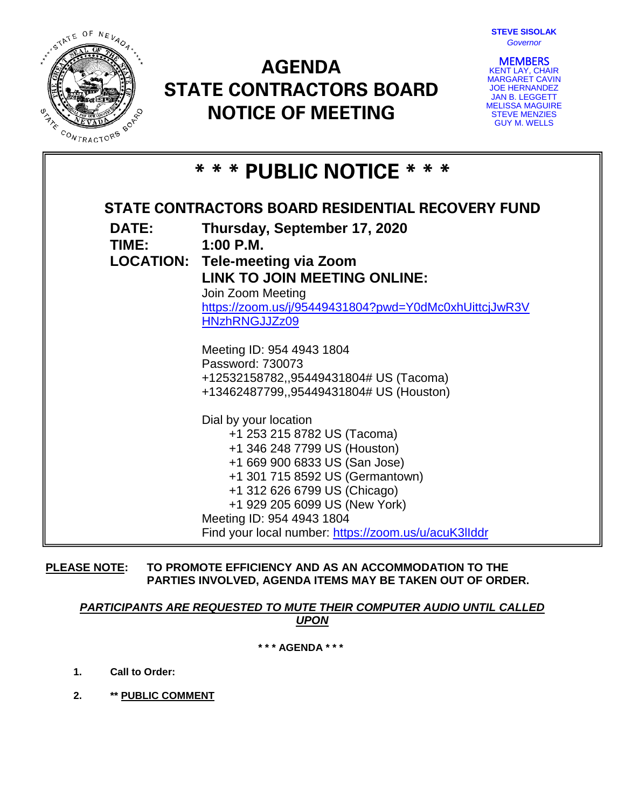

# **AGENDA STATE CONTRACTORS BOARD NOTICE OF MEETING**



**MEMBERS**<br>KENT LAY, CHAIR MARGARET CAVIN JOE HERNANDEZ JAN B. LEGGETT MELISSA MAGUIRE STEVE MENZIES GUY M. WELLS

| * * * PUBLIC NOTICE * * *                                |                                                                                                                                                                                                                                                                                                                |
|----------------------------------------------------------|----------------------------------------------------------------------------------------------------------------------------------------------------------------------------------------------------------------------------------------------------------------------------------------------------------------|
| <b>STATE CONTRACTORS BOARD RESIDENTIAL RECOVERY FUND</b> |                                                                                                                                                                                                                                                                                                                |
| <b>DATE:</b><br>TIME:                                    | Thursday, September 17, 2020<br>$1:00$ P.M.                                                                                                                                                                                                                                                                    |
|                                                          | <b>LOCATION: Tele-meeting via Zoom</b><br><b>LINK TO JOIN MEETING ONLINE:</b>                                                                                                                                                                                                                                  |
|                                                          | Join Zoom Meeting<br>https://zoom.us/j/95449431804?pwd=Y0dMc0xhUittcjJwR3V<br>HNzhRNGJJZz09                                                                                                                                                                                                                    |
|                                                          | Meeting ID: 954 4943 1804<br>Password: 730073<br>+12532158782,,95449431804# US (Tacoma)<br>+13462487799,,95449431804# US (Houston)                                                                                                                                                                             |
|                                                          | Dial by your location<br>+1 253 215 8782 US (Tacoma)<br>+1 346 248 7799 US (Houston)<br>+1 669 900 6833 US (San Jose)<br>+1 301 715 8592 US (Germantown)<br>+1 312 626 6799 US (Chicago)<br>+1 929 205 6099 US (New York)<br>Meeting ID: 954 4943 1804<br>Find your local number: https://zoom.us/u/acuK3IIddr |

**PLEASE NOTE: TO PROMOTE EFFICIENCY AND AS AN ACCOMMODATION TO THE PARTIES INVOLVED, AGENDA ITEMS MAY BE TAKEN OUT OF ORDER.**

## *PARTICIPANTS ARE REQUESTED TO MUTE THEIR COMPUTER AUDIO UNTIL CALLED UPON*

**\* \* \* AGENDA \* \* \***

- **1. Call to Order:**
- **2. \*\* PUBLIC COMMENT**